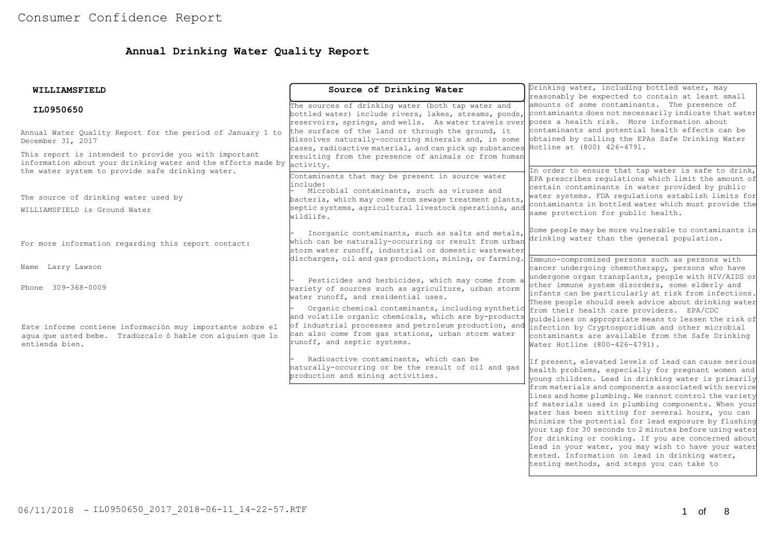# **Annual Drinking Water Quality Report**

| WILLIAMSFIELD                                                                                                                                                              | Source of Drinking Water                                                                                                                                                                                                                                                                            | Drinking water, including bottled water, may<br>reasonably be expected to contain at least small                                                                                                                                                                                                                                                                                                                                                                                                                                                             |  |  |
|----------------------------------------------------------------------------------------------------------------------------------------------------------------------------|-----------------------------------------------------------------------------------------------------------------------------------------------------------------------------------------------------------------------------------------------------------------------------------------------------|--------------------------------------------------------------------------------------------------------------------------------------------------------------------------------------------------------------------------------------------------------------------------------------------------------------------------------------------------------------------------------------------------------------------------------------------------------------------------------------------------------------------------------------------------------------|--|--|
| IL0950650                                                                                                                                                                  | The sources of drinking water (both tap water and<br>bottled water) include rivers, lakes, streams, ponds,<br>reservoirs, springs, and wells. As water travels over poses a health risk. More information about                                                                                     | amounts of some contaminants. The presence of<br>contaminants does not necessarily indicate that water                                                                                                                                                                                                                                                                                                                                                                                                                                                       |  |  |
| Annual Water Ouality Report for the period of January 1 to<br>December 31, 2017                                                                                            | the surface of the land or through the ground, it<br>dissolves naturally-occurring minerals and, in some<br>$ $ cases, radioactive material, and can pick up substances $ $ Hotline at (800) 426-4791.                                                                                              | contaminants and potential health effects can be<br>obtained by calling the EPAs Safe Drinking Water                                                                                                                                                                                                                                                                                                                                                                                                                                                         |  |  |
| This report is intended to provide you with important<br>information about your drinking water and the efforts made by<br>the water system to provide safe drinking water. | resulting from the presence of animals or from human<br>activity.<br>Contaminants that may be present in source water<br>linclude:                                                                                                                                                                  | In order to ensure that tap water is safe to drink,<br>EPA prescribes regulations which limit the amount of<br>certain contaminants in water provided by public                                                                                                                                                                                                                                                                                                                                                                                              |  |  |
| The source of drinking water used by                                                                                                                                       | Microbial contaminants, such as viruses and<br>bacteria, which may come from sewage treatment plants,                                                                                                                                                                                               | water systems. FDA regulations establish limits for                                                                                                                                                                                                                                                                                                                                                                                                                                                                                                          |  |  |
| WILLIAMSFIELD is Ground Water                                                                                                                                              | septic systems, agricultural livestock operations, and<br>wildlife.                                                                                                                                                                                                                                 | contaminants in bottled water which must provide the<br>same protection for public health.                                                                                                                                                                                                                                                                                                                                                                                                                                                                   |  |  |
| For more information regarding this report contact:                                                                                                                        | Inorganic contaminants, such as salts and metals,<br>which can be naturally-occurring or result from urban<br>storm water runoff, industrial or domestic wastewater                                                                                                                                 | Some people may be more vulnerable to contaminants in<br>drinking water than the general population.                                                                                                                                                                                                                                                                                                                                                                                                                                                         |  |  |
| Name Larry Lawson                                                                                                                                                          | discharges, oil and gas production, mining, or farming.                                                                                                                                                                                                                                             | Immuno-compromised persons such as persons with<br>cancer undergoing chemotherapy, persons who have                                                                                                                                                                                                                                                                                                                                                                                                                                                          |  |  |
| Phone 309-368-0009                                                                                                                                                         | Pesticides and herbicides, which may come from a<br>wariety of sources such as agriculture, urban storm<br>water runoff, and residential uses.                                                                                                                                                      | undergone organ transplants, people with HIV/AIDS or<br>other immune system disorders, some elderly and<br>infants can be particularly at risk from infections.                                                                                                                                                                                                                                                                                                                                                                                              |  |  |
| Este informe contiene información muy importante sobre el<br>aqua que usted bebe. Tradúzcalo ó hable con alquien que lo<br>entienda bien.                                  | Organic chemical contaminants, including synthetic from their health care providers. EPA/CDC<br>and volatile organic chemicals, which are by-products<br>of industrial processes and petroleum production, and<br>can also come from gas stations, urban storm water<br>runoff, and septic systems. | These people should seek advice about drinking water<br>quidelines on appropriate means to lessen the risk of<br>infection by Cryptosporidium and other microbial<br>contaminants are available from the Safe Drinking<br>Water Hotline (800-426-4791).                                                                                                                                                                                                                                                                                                      |  |  |
|                                                                                                                                                                            | Radioactive contaminants, which can be<br>haturally-occurring or be the result of oil and gas<br>production and mining activities.                                                                                                                                                                  | If present, elevated levels of lead can cause serious<br>health problems, especially for pregnant women and<br>young children. Lead in drinking water is primarily                                                                                                                                                                                                                                                                                                                                                                                           |  |  |
|                                                                                                                                                                            |                                                                                                                                                                                                                                                                                                     | from materials and components associated with service<br>lines and home plumbing. We cannot control the variety<br>of materials used in plumbing components. When your<br>water has been sitting for several hours, you can<br>minimize the potential for lead exposure by flushing<br>vour tap for 30 seconds to 2 minutes before using water<br>for drinking or cooking. If you are concerned about<br>lead in your water, you may wish to have your water<br>tested. Information on lead in drinking water,<br>testing methods, and steps you can take to |  |  |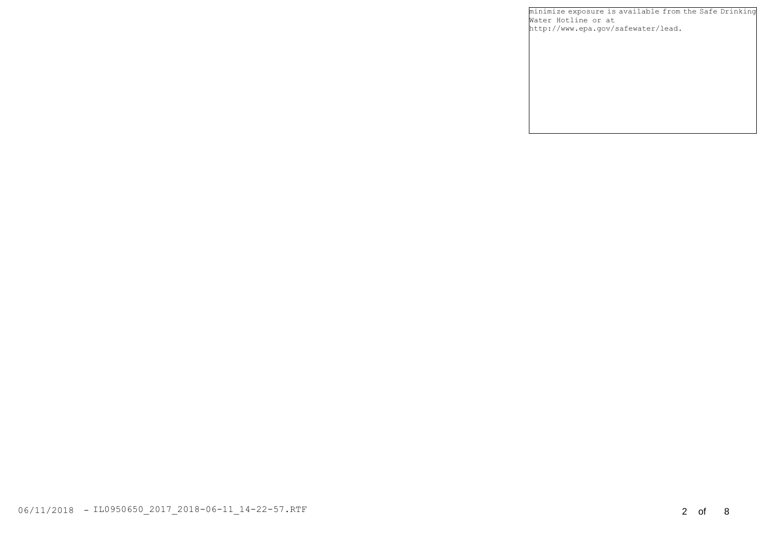minimize exposure is available from the Safe Drinking Water Hotline or at http://www.epa.gov/safewater/lead.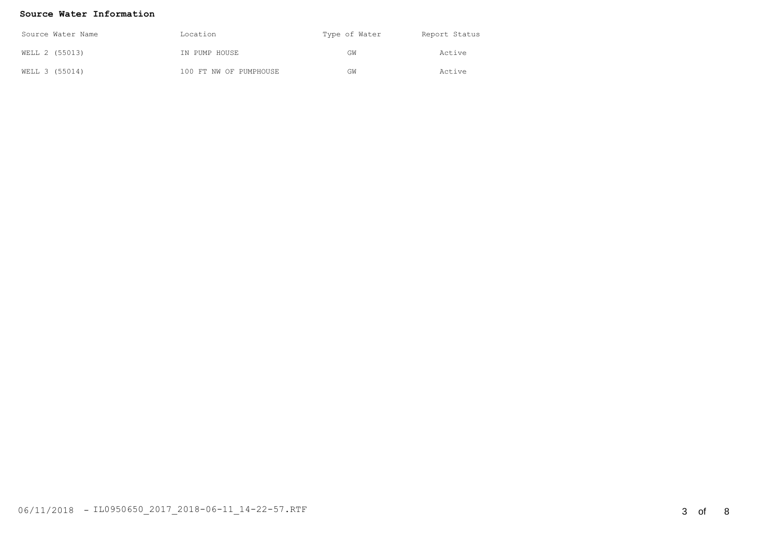### **Source Water Information**

| Source Water Name | Location               | Type of Water | Report Status |
|-------------------|------------------------|---------------|---------------|
| WELL 2 (55013)    | IN PUMP HOUSE          | GW            | Active        |
| WELL 3 (55014)    | 100 FT NW OF PUMPHOUSE | GW            | Active        |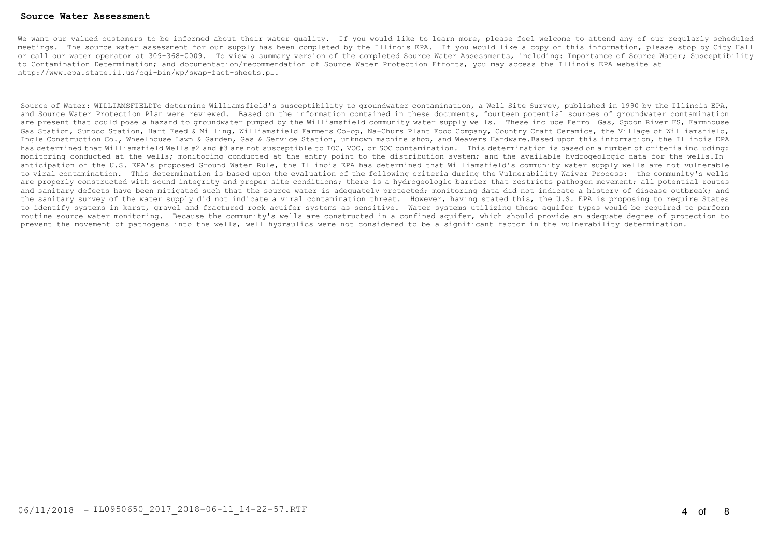#### **Source Water Assessment**

We want our valued customers to be informed about their water quality. If you would like to learn more, please feel welcome to attend any of our reqularly scheduled meetings. The source water assessment for our supply has been completed by the Illinois EPA. If you would like a copy of this information, please stop by City Hall or call our water operator at 309-368-0009. To view a summary version of the completed Source Water Assessments, including: Importance of Source Water; Susceptibility to Contamination Determination; and documentation/recommendation of Source Water Protection Efforts, you may access the Illinois EPA website at http://www.epa.state.il.us/cgi-bin/wp/swap-fact-sheets.pl.

Source of Water: WILLIAMSFIELDTo determine Williamsfield's susceptibility to groundwater contamination, a Well Site Survey, published in 1990 by the Illinois EPA, and Source Water Protection Plan were reviewed. Based on the information contained in these documents, fourteen potential sources of groundwater contamination are present that could pose a hazard to groundwater pumped by the Williamsfield community water supply wells. These include Ferrol Gas, Spoon River FS, Farmhouse Gas Station, Sunoco Station, Hart Feed & Milling, Williamsfield Farmers Co-op, Na-Churs Plant Food Company, Country Craft Ceramics, the Village of Williamsfield, Ingle Construction Co., Wheelhouse Lawn & Garden, Gas & Service Station, unknown machine shop, and Weavers Hardware.Based upon this information, the Illinois EPA has determined that Williamsfield Wells #2 and #3 are not susceptible to IOC, VOC, or SOC contamination. This determination is based on a number of criteria including: monitoring conducted at the wells; monitoring conducted at the entry point to the distribution system; and the available hydrogeologic data for the wells.In anticipation of the U.S. EPA's proposed Ground Water Rule, the Illinois EPA has determined that Williamsfield's community water supply wells are not vulnerable to viral contamination. This determination is based upon the evaluation of the following criteria during the Vulnerability Waiver Process: the community's wells are properly constructed with sound integrity and proper site conditions; there is a hydrogeologic barrier that restricts pathogen movement; all potential routes and sanitary defects have been mitigated such that the source water is adequately protected; monitoring data did not indicate a history of disease outbreak; and the sanitary survey of the water supply did not indicate a viral contamination threat. However, having stated this, the U.S. EPA is proposing to require States to identify systems in karst, gravel and fractured rock aquifer systems as sensitive. Water systems utilizing these aquifer types would be required to perform routine source water monitoring. Because the community's wells are constructed in a confined aquifer, which should provide an adequate degree of protection to prevent the movement of pathogens into the wells, well hydraulics were not considered to be a significant factor in the vulnerability determination.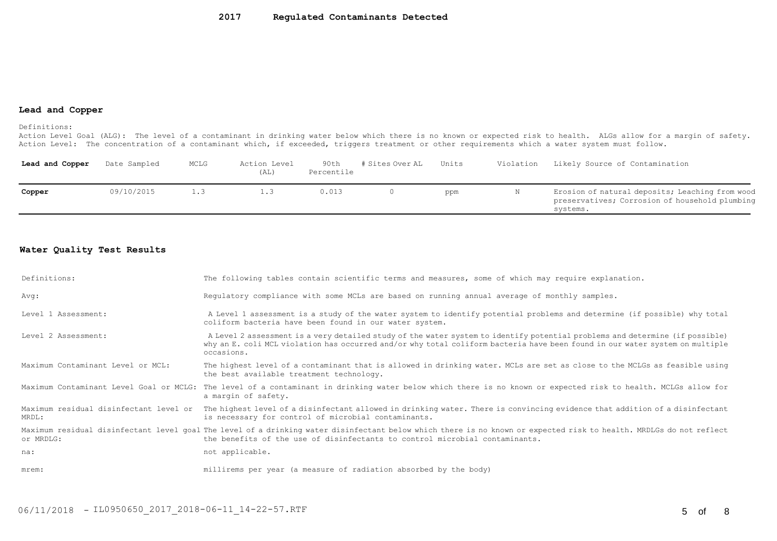#### **Lead and Copper**

Definitions:

Action Level Goal (ALG): The level of a contaminant in drinking water below which there is no known or expected risk to health. ALGs allow for a margin of safety. Action Level: The concentration of a contaminant which, if exceeded, triggers treatment or other requirements which a water system must follow.

| Lead and Copper | Date Sampled | MCLG | Action Level<br>(AL) | 90th<br>Percentile | # Sites Over AL | Units | Violation | Likely Source of Contamination                                                                                |
|-----------------|--------------|------|----------------------|--------------------|-----------------|-------|-----------|---------------------------------------------------------------------------------------------------------------|
| Copper          | 09/10/2015   |      |                      | J.O13              |                 | ppm   | N         | Erosion of natural deposits; Leaching from wood<br>preservatives; Corrosion of household plumbing<br>systems. |

## **Water Quality Test Results**

| Definitions:                      | The following tables contain scientific terms and measures, some of which may require explanation.                                                                                                                                                                         |
|-----------------------------------|----------------------------------------------------------------------------------------------------------------------------------------------------------------------------------------------------------------------------------------------------------------------------|
| Avg:                              | Requlatory compliance with some MCLs are based on running annual average of monthly samples.                                                                                                                                                                               |
| Level 1 Assessment:               | A Level 1 assessment is a study of the water system to identify potential problems and determine (if possible) why total<br>coliform bacteria have been found in our water system.                                                                                         |
| Level 2 Assessment:               | A Level 2 assessment is a very detailed study of the water system to identify potential problems and determine (if possible)<br>why an E. coli MCL violation has occurred and/or why total coliform bacteria have been found in our water system on multiple<br>occasions. |
| Maximum Contaminant Level or MCL: | The highest level of a contaminant that is allowed in drinking water. MCLs are set as close to the MCLGs as feasible using<br>the best available treatment technology.                                                                                                     |
|                                   | Maximum Contaminant Level Goal or MCLG: The level of a contaminant in drinking water below which there is no known or expected risk to health. MCLGs allow for<br>a margin of safety.                                                                                      |
| MRDL:                             | Maximum residual disinfectant level or The highest level of a disinfectant allowed in drinking water. There is convincing evidence that addition of a disinfectant<br>is necessary for control of microbial contaminants.                                                  |
| or MRDLG:                         | Maximum residual disinfectant level qoal The level of a drinking water disinfectant below which there is no known or expected risk to health. MRDLGs do not reflect<br>the benefits of the use of disinfectants to control microbial contaminants.                         |
| na:                               | not applicable.                                                                                                                                                                                                                                                            |
| mrem:                             | millirems per year (a measure of radiation absorbed by the body)                                                                                                                                                                                                           |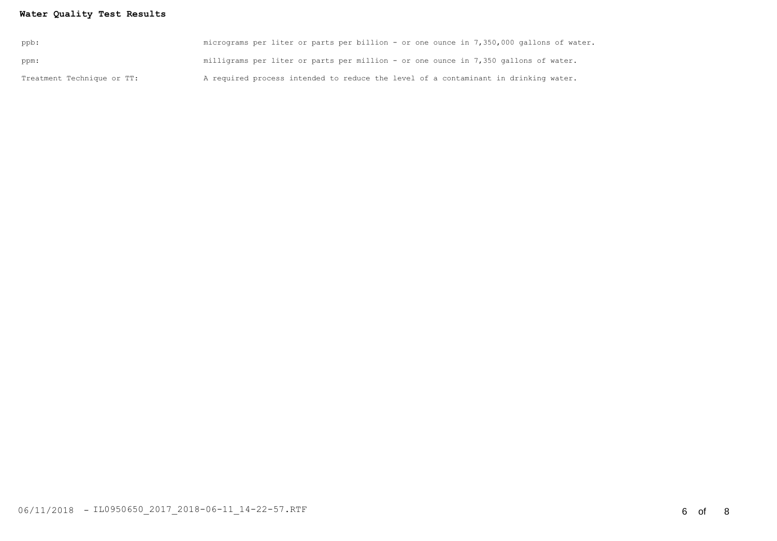## **Water Quality Test Results**

| Treatment Technique or TT: | A required process intended to reduce the level of a contaminant in drinking water.     |
|----------------------------|-----------------------------------------------------------------------------------------|
| ppm:                       | milligrams per liter or parts per million - or one ounce in 7,350 gallons of water.     |
| ppb:                       | micrograms per liter or parts per billion - or one ounce in 7,350,000 gallons of water. |